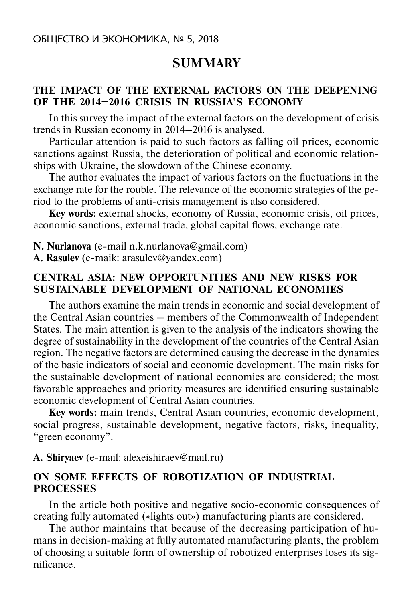# **SUMMARY**

## **THE IMPACT OF THE EXTERNAL FACTORS ON THE DEEPENING OF THE 2014–2016 CRISIS IN RUSSIA'S ECONOMY**

In this survey the impact of the external factors on the development of crisis trends in Russian economy in 2014–2016 is analysed.

Particular attention is paid to such factors as falling oil prices, economic sanctions against Russia, the deterioration of political and economic relationships with Ukraine, the slowdown of the Chinese economy.

The author evaluates the impact of various factors on the fluctuations in the exchange rate for the rouble. The relevance of the economic strategies of the period to the problems of anti-crisis management is also considered.

**Key words:** external shocks, economy of Russia, economic crisis, oil prices, economic sanctions, external trade, global capital flows, exchange rate.

**N. Nurlanova** (e-mail n.k.nurlanova@gmail.com)

**A. Rasulev** (e-maik: arasulev@yandex.com)

# **CENTRAL ASIA: NEW OPPORTUNITIES AND NEW RISKS FOR SUSTAINABLE DEVELOPMENT OF NATIONAL ECONOMIES**

The authors examine the main trends in economic and social development of the Central Asian countries – members of the Commonwealth of Independent States. The main attention is given to the analysis of the indicators showing the degree of sustainability in the development of the countries of the Central Asian region. The negative factors are determined causing the decrease in the dynamics of the basic indicators of social and economic development. The main risks for the sustainable development of national economies are considered; the most favorable approaches and priority measures are identified ensuring sustainable economic development of Central Asian countries.

**Key words:** main trends, Central Asian countries, economic development, social progress, sustainable development, negative factors, risks, inequality, "green economy".

#### **A. Shiryaev** (e-mail: alexeishiraev@mail.ru)

## **ON SOME EFFECTS OF ROBOTIZATION OF INDUSTRIAL PROCESSES**

In the article both positive and negative socio-economic consequences of creating fully automated («lights out») manufacturing plants are considered.

The author maintains that because of the decreasing participation of humans in decision-making at fully automated manufacturing plants, the problem of choosing a suitable form of ownership of robotized enterprises loses its significance.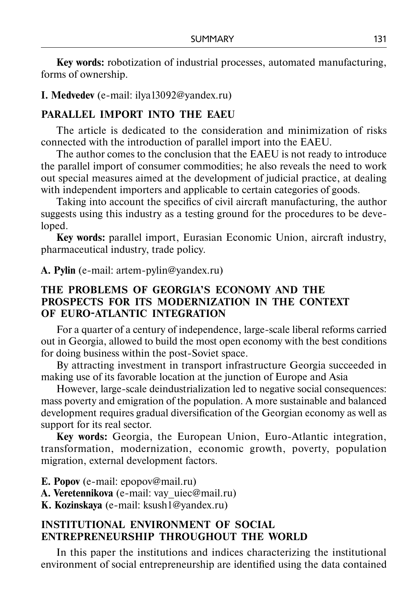**Key words:** robotization of industrial processes, automated manufacturing, forms of ownership.

#### **I. Medvedev** (е-mail: ilya13092@yandex.ru)

#### **PARALLEL IMPORT INTO THE EAEU**

The article is dedicated to the consideration and minimization of risks connected with the introduction of parallel import into the EAEU.

The author comes to the conclusion that the EAEU is not ready to introduce the parallel import of consumer commodities; he also reveals the need to work out special measures aimed at the development of judicial practice, at dealing with independent importers and applicable to certain categories of goods.

Taking into account the specifics of civil aircraft manufacturing, the author suggests using this industry as a testing ground for the procedures to be developed.

**Key words:** рarallel import, Eurasian Economic Union, aircraft industry, pharmaceutical industry, trade policy.

**A. Pylin** (e-mail: artem-pylin@yandex.ru)

## **THE PROBLEMS OF GEORGIA'S ECONOMY AND THE PROSPECTS FOR ITS MODERNIZATION IN THE CONTEXT OF EURO-ATLANTIC INTEGRATION**

For a quarter of a century of independence, large-scale liberal reforms carried out in Georgia, allowed to build the most open economy with the best conditions for doing business within the post-Soviet space.

By attracting investment in transport infrastructure Georgia succeeded in making use of its favorable location at the junction of Europe and Asia

However, large-scale deindustrialization led to negative social consequences: mass poverty and emigration of the population. A more sustainable and balanced development requires gradual diversification of the Georgian economy as well as support for its real sector.

**Key words:** Georgia, the European Union, Euro-Atlantic integration, transformation, modernization, economic growth, poverty, population migration, external development factors.

**E. Popov** (e-mail: epopov@mail.ru) **А. Veretennikova** (e-mail: vay\_uiec@mail.ru) **K. Kozinskaya** (e-mail: ksush1@yandex.ru)

## **INSTITUTIONAL ENVIRONMENT OF SOCIAL ENTREPRENEURSHIP THROUGHOUT THE WORLD**

In this paper the institutions and indices characterizing the institutional environment of social entrepreneurship are identified using the data contained